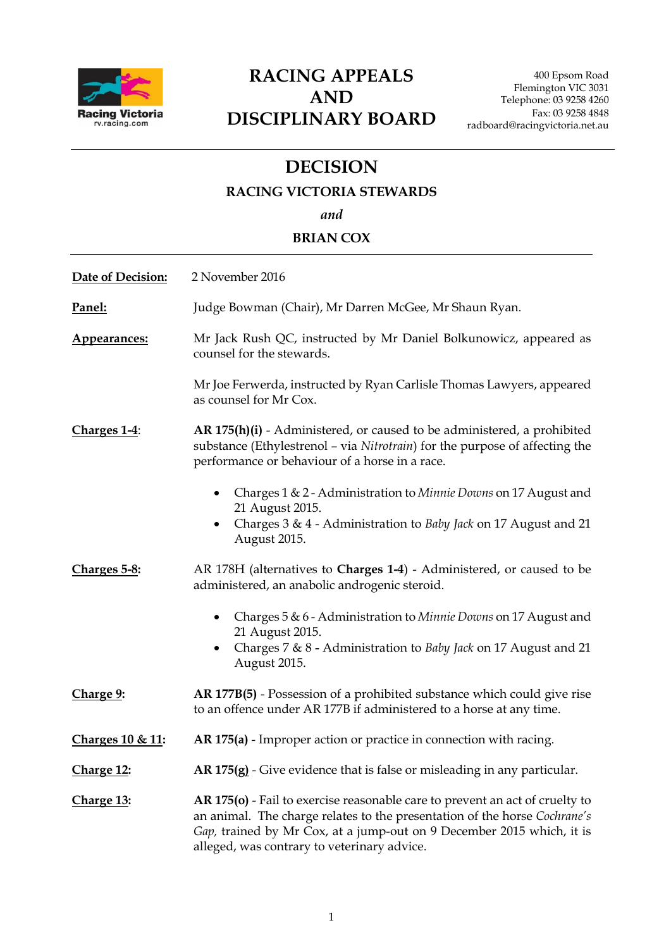

# **RACING APPEALS AND DISCIPLINARY BOARD**

## **DECISION**

### **RACING VICTORIA STEWARDS**

*and*

### **BRIAN COX**

| Date of Decision: | 2 November 2016                                                                                                                                                                                                                                                                   |
|-------------------|-----------------------------------------------------------------------------------------------------------------------------------------------------------------------------------------------------------------------------------------------------------------------------------|
| Panel:            | Judge Bowman (Chair), Mr Darren McGee, Mr Shaun Ryan.                                                                                                                                                                                                                             |
| Appearances:      | Mr Jack Rush QC, instructed by Mr Daniel Bolkunowicz, appeared as<br>counsel for the stewards.                                                                                                                                                                                    |
|                   | Mr Joe Ferwerda, instructed by Ryan Carlisle Thomas Lawyers, appeared<br>as counsel for Mr Cox.                                                                                                                                                                                   |
| Charges 1-4:      | AR 175(h)(i) - Administered, or caused to be administered, a prohibited<br>substance (Ethylestrenol - via Nitrotrain) for the purpose of affecting the<br>performance or behaviour of a horse in a race.                                                                          |
|                   | Charges 1 & 2 - Administration to Minnie Downs on 17 August and<br>21 August 2015.                                                                                                                                                                                                |
|                   | Charges 3 & 4 - Administration to Baby Jack on 17 August and 21<br>August 2015.                                                                                                                                                                                                   |
| Charges 5-8:      | AR 178H (alternatives to Charges 1-4) - Administered, or caused to be<br>administered, an anabolic androgenic steroid.                                                                                                                                                            |
|                   | Charges 5 & 6 - Administration to Minnie Downs on 17 August and<br>21 August 2015.                                                                                                                                                                                                |
|                   | Charges 7 & 8 - Administration to Baby Jack on 17 August and 21<br>August 2015.                                                                                                                                                                                                   |
| Charge 9:         | AR 177B(5) - Possession of a prohibited substance which could give rise<br>to an offence under AR 177B if administered to a horse at any time.                                                                                                                                    |
| Charges 10 & 11:  | AR 175(a) - Improper action or practice in connection with racing.                                                                                                                                                                                                                |
| Charge 12:        | AR 175(g) - Give evidence that is false or misleading in any particular.                                                                                                                                                                                                          |
| Charge 13:        | AR 175(o) - Fail to exercise reasonable care to prevent an act of cruelty to<br>an animal. The charge relates to the presentation of the horse Cochrane's<br>Gap, trained by Mr Cox, at a jump-out on 9 December 2015 which, it is<br>alleged, was contrary to veterinary advice. |